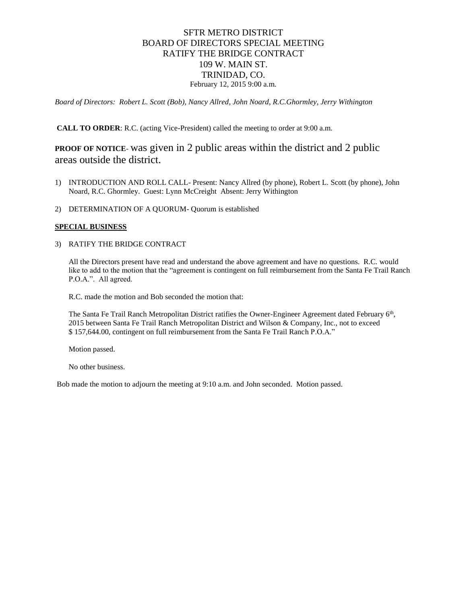#### SFTR METRO DISTRICT BOARD OF DIRECTORS SPECIAL MEETING RATIFY THE BRIDGE CONTRACT 109 W. MAIN ST. TRINIDAD, CO. February 12, 2015 9:00 a.m.

*Board of Directors: Robert L. Scott (Bob), Nancy Allred, John Noard, R.C.Ghormley, Jerry Withington*

**CALL TO ORDER**: R.C. (acting Vice-President) called the meeting to order at 9:00 a.m.

#### **PROOF OF NOTICE**- was given in 2 public areas within the district and 2 public areas outside the district.

- 1) INTRODUCTION AND ROLL CALL- Present: Nancy Allred (by phone), Robert L. Scott (by phone), John Noard, R.C. Ghormley. Guest: Lynn McCreight Absent: Jerry Withington
- 2) DETERMINATION OF A QUORUM- Quorum is established

#### **SPECIAL BUSINESS**

3) RATIFY THE BRIDGE CONTRACT

All the Directors present have read and understand the above agreement and have no questions. R.C. would like to add to the motion that the "agreement is contingent on full reimbursement from the Santa Fe Trail Ranch P.O.A.". All agreed.

R.C. made the motion and Bob seconded the motion that:

The Santa Fe Trail Ranch Metropolitan District ratifies the Owner-Engineer Agreement dated February 6<sup>th</sup>, 2015 between Santa Fe Trail Ranch Metropolitan District and Wilson & Company, Inc., not to exceed \$ 157,644.00, contingent on full reimbursement from the Santa Fe Trail Ranch P.O.A."

Motion passed.

No other business.

Bob made the motion to adjourn the meeting at 9:10 a.m. and John seconded. Motion passed.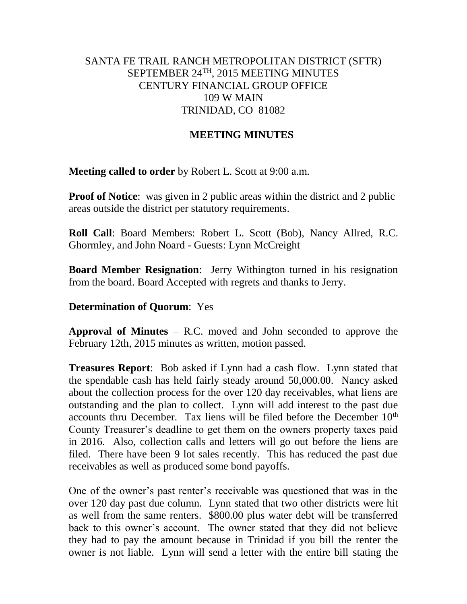## SANTA FE TRAIL RANCH METROPOLITAN DISTRICT (SFTR) SEPTEMBER 24TH, 2015 MEETING MINUTES CENTURY FINANCIAL GROUP OFFICE 109 W MAIN TRINIDAD, CO 81082

#### **MEETING MINUTES**

**Meeting called to order** by Robert L. Scott at 9:00 a.m.

**Proof of Notice**: was given in 2 public areas within the district and 2 public areas outside the district per statutory requirements.

**Roll Call**: Board Members: Robert L. Scott (Bob), Nancy Allred, R.C. Ghormley, and John Noard - Guests: Lynn McCreight

**Board Member Resignation**: Jerry Withington turned in his resignation from the board. Board Accepted with regrets and thanks to Jerry.

#### **Determination of Quorum**: Yes

**Approval of Minutes** – R.C. moved and John seconded to approve the February 12th, 2015 minutes as written, motion passed.

**Treasures Report**: Bob asked if Lynn had a cash flow. Lynn stated that the spendable cash has held fairly steady around 50,000.00. Nancy asked about the collection process for the over 120 day receivables, what liens are outstanding and the plan to collect. Lynn will add interest to the past due accounts thru December. Tax liens will be filed before the December  $10<sup>th</sup>$ County Treasurer's deadline to get them on the owners property taxes paid in 2016. Also, collection calls and letters will go out before the liens are filed. There have been 9 lot sales recently. This has reduced the past due receivables as well as produced some bond payoffs.

One of the owner's past renter's receivable was questioned that was in the over 120 day past due column. Lynn stated that two other districts were hit as well from the same renters. \$800.00 plus water debt will be transferred back to this owner's account. The owner stated that they did not believe they had to pay the amount because in Trinidad if you bill the renter the owner is not liable. Lynn will send a letter with the entire bill stating the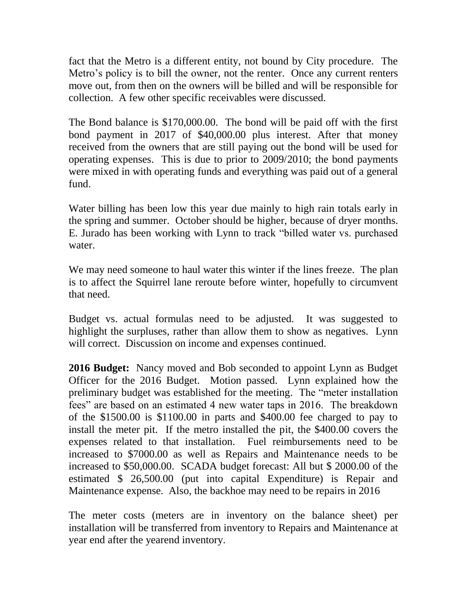fact that the Metro is a different entity, not bound by City procedure. The Metro's policy is to bill the owner, not the renter. Once any current renters move out, from then on the owners will be billed and will be responsible for collection. A few other specific receivables were discussed.

The Bond balance is \$170,000.00. The bond will be paid off with the first bond payment in 2017 of \$40,000.00 plus interest. After that money received from the owners that are still paying out the bond will be used for operating expenses. This is due to prior to 2009/2010; the bond payments were mixed in with operating funds and everything was paid out of a general fund.

Water billing has been low this year due mainly to high rain totals early in the spring and summer. October should be higher, because of dryer months. E. Jurado has been working with Lynn to track "billed water vs. purchased water.

We may need someone to haul water this winter if the lines freeze. The plan is to affect the Squirrel lane reroute before winter, hopefully to circumvent that need.

Budget vs. actual formulas need to be adjusted. It was suggested to highlight the surpluses, rather than allow them to show as negatives. Lynn will correct. Discussion on income and expenses continued.

**2016 Budget:** Nancy moved and Bob seconded to appoint Lynn as Budget Officer for the 2016 Budget. Motion passed. Lynn explained how the preliminary budget was established for the meeting. The "meter installation fees" are based on an estimated 4 new water taps in 2016. The breakdown of the \$1500.00 is \$1100.00 in parts and \$400.00 fee charged to pay to install the meter pit. If the metro installed the pit, the \$400.00 covers the expenses related to that installation. Fuel reimbursements need to be increased to \$7000.00 as well as Repairs and Maintenance needs to be increased to \$50,000.00. SCADA budget forecast: All but \$ 2000.00 of the estimated \$ 26,500.00 (put into capital Expenditure) is Repair and Maintenance expense. Also, the backhoe may need to be repairs in 2016

The meter costs (meters are in inventory on the balance sheet) per installation will be transferred from inventory to Repairs and Maintenance at year end after the yearend inventory.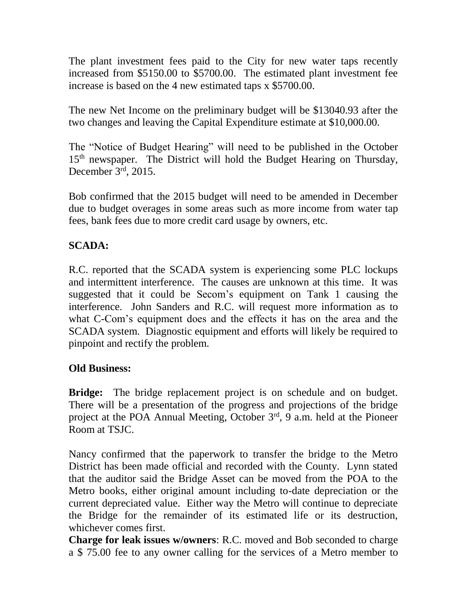The plant investment fees paid to the City for new water taps recently increased from \$5150.00 to \$5700.00. The estimated plant investment fee increase is based on the 4 new estimated taps x \$5700.00.

The new Net Income on the preliminary budget will be \$13040.93 after the two changes and leaving the Capital Expenditure estimate at \$10,000.00.

The "Notice of Budget Hearing" will need to be published in the October 15<sup>th</sup> newspaper. The District will hold the Budget Hearing on Thursday, December 3rd, 2015.

Bob confirmed that the 2015 budget will need to be amended in December due to budget overages in some areas such as more income from water tap fees, bank fees due to more credit card usage by owners, etc.

# **SCADA:**

R.C. reported that the SCADA system is experiencing some PLC lockups and intermittent interference. The causes are unknown at this time. It was suggested that it could be Secom's equipment on Tank 1 causing the interference. John Sanders and R.C. will request more information as to what C-Com's equipment does and the effects it has on the area and the SCADA system. Diagnostic equipment and efforts will likely be required to pinpoint and rectify the problem.

## **Old Business:**

**Bridge:** The bridge replacement project is on schedule and on budget. There will be a presentation of the progress and projections of the bridge project at the POA Annual Meeting, October 3<sup>rd</sup>, 9 a.m. held at the Pioneer Room at TSJC.

Nancy confirmed that the paperwork to transfer the bridge to the Metro District has been made official and recorded with the County. Lynn stated that the auditor said the Bridge Asset can be moved from the POA to the Metro books, either original amount including to-date depreciation or the current depreciated value. Either way the Metro will continue to depreciate the Bridge for the remainder of its estimated life or its destruction, whichever comes first.

**Charge for leak issues w/owners**: R.C. moved and Bob seconded to charge a \$ 75.00 fee to any owner calling for the services of a Metro member to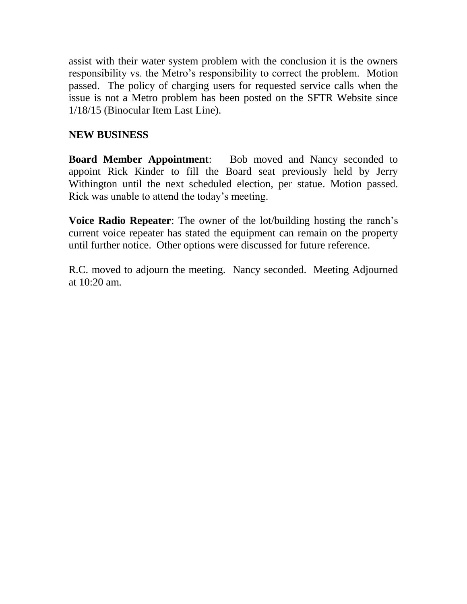assist with their water system problem with the conclusion it is the owners responsibility vs. the Metro's responsibility to correct the problem. Motion passed. The policy of charging users for requested service calls when the issue is not a Metro problem has been posted on the SFTR Website since 1/18/15 (Binocular Item Last Line).

## **NEW BUSINESS**

**Board Member Appointment**: Bob moved and Nancy seconded to appoint Rick Kinder to fill the Board seat previously held by Jerry Withington until the next scheduled election, per statue. Motion passed. Rick was unable to attend the today's meeting.

**Voice Radio Repeater**: The owner of the lot/building hosting the ranch's current voice repeater has stated the equipment can remain on the property until further notice. Other options were discussed for future reference.

R.C. moved to adjourn the meeting. Nancy seconded. Meeting Adjourned at 10:20 am.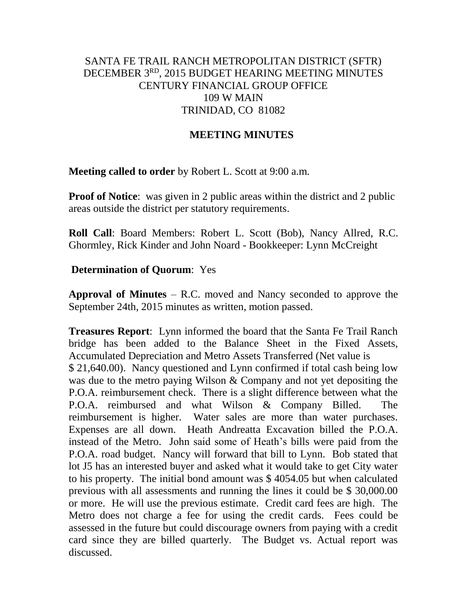## SANTA FE TRAIL RANCH METROPOLITAN DISTRICT (SFTR) DECEMBER 3RD, 2015 BUDGET HEARING MEETING MINUTES CENTURY FINANCIAL GROUP OFFICE 109 W MAIN TRINIDAD, CO 81082

#### **MEETING MINUTES**

**Meeting called to order** by Robert L. Scott at 9:00 a.m.

**Proof of Notice**: was given in 2 public areas within the district and 2 public areas outside the district per statutory requirements.

**Roll Call**: Board Members: Robert L. Scott (Bob), Nancy Allred, R.C. Ghormley, Rick Kinder and John Noard - Bookkeeper: Lynn McCreight

#### **Determination of Quorum**: Yes

**Approval of Minutes** – R.C. moved and Nancy seconded to approve the September 24th, 2015 minutes as written, motion passed.

**Treasures Report**: Lynn informed the board that the Santa Fe Trail Ranch bridge has been added to the Balance Sheet in the Fixed Assets, Accumulated Depreciation and Metro Assets Transferred (Net value is \$ 21,640.00). Nancy questioned and Lynn confirmed if total cash being low was due to the metro paying Wilson & Company and not yet depositing the P.O.A. reimbursement check. There is a slight difference between what the P.O.A. reimbursed and what Wilson & Company Billed. The reimbursement is higher. Water sales are more than water purchases. Expenses are all down. Heath Andreatta Excavation billed the P.O.A. instead of the Metro. John said some of Heath's bills were paid from the P.O.A. road budget. Nancy will forward that bill to Lynn. Bob stated that lot J5 has an interested buyer and asked what it would take to get City water to his property. The initial bond amount was \$ 4054.05 but when calculated previous with all assessments and running the lines it could be \$ 30,000.00 or more. He will use the previous estimate. Credit card fees are high. The Metro does not charge a fee for using the credit cards. Fees could be assessed in the future but could discourage owners from paying with a credit card since they are billed quarterly. The Budget vs. Actual report was discussed.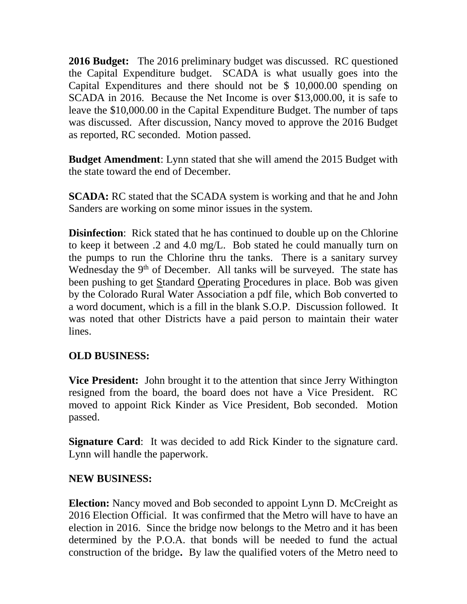**2016 Budget:** The 2016 preliminary budget was discussed. RC questioned the Capital Expenditure budget. SCADA is what usually goes into the Capital Expenditures and there should not be \$ 10,000.00 spending on SCADA in 2016. Because the Net Income is over \$13,000.00, it is safe to leave the \$10,000.00 in the Capital Expenditure Budget. The number of taps was discussed. After discussion, Nancy moved to approve the 2016 Budget as reported, RC seconded. Motion passed.

**Budget Amendment**: Lynn stated that she will amend the 2015 Budget with the state toward the end of December.

**SCADA:** RC stated that the SCADA system is working and that he and John Sanders are working on some minor issues in the system.

**Disinfection**: Rick stated that he has continued to double up on the Chlorine to keep it between .2 and 4.0 mg/L. Bob stated he could manually turn on the pumps to run the Chlorine thru the tanks. There is a sanitary survey Wednesday the 9<sup>th</sup> of December. All tanks will be surveyed. The state has been pushing to get Standard Operating Procedures in place. Bob was given by the Colorado Rural Water Association a pdf file, which Bob converted to a word document, which is a fill in the blank S.O.P. Discussion followed. It was noted that other Districts have a paid person to maintain their water lines.

## **OLD BUSINESS:**

**Vice President:** John brought it to the attention that since Jerry Withington resigned from the board, the board does not have a Vice President. RC moved to appoint Rick Kinder as Vice President, Bob seconded. Motion passed.

**Signature Card**: It was decided to add Rick Kinder to the signature card. Lynn will handle the paperwork.

## **NEW BUSINESS:**

**Election:** Nancy moved and Bob seconded to appoint Lynn D. McCreight as 2016 Election Official. It was confirmed that the Metro will have to have an election in 2016. Since the bridge now belongs to the Metro and it has been determined by the P.O.A. that bonds will be needed to fund the actual construction of the bridge**.** By law the qualified voters of the Metro need to